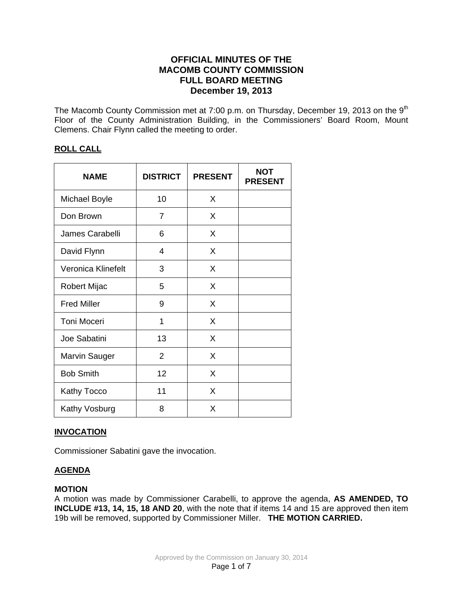# **OFFICIAL MINUTES OF THE MACOMB COUNTY COMMISSION FULL BOARD MEETING December 19, 2013**

The Macomb County Commission met at 7:00 p.m. on Thursday, December 19, 2013 on the 9<sup>th</sup> Floor of the County Administration Building, in the Commissioners' Board Room, Mount Clemens. Chair Flynn called the meeting to order.

# **ROLL CALL**

| <b>NAME</b>          | <b>DISTRICT</b> | <b>PRESENT</b> | <b>NOT</b><br><b>PRESENT</b> |
|----------------------|-----------------|----------------|------------------------------|
| <b>Michael Boyle</b> | 10              | X              |                              |
| Don Brown            | 7               | X              |                              |
| James Carabelli      | 6               | X              |                              |
| David Flynn          | 4               | X              |                              |
| Veronica Klinefelt   | 3               | X              |                              |
| Robert Mijac         | 5               | X              |                              |
| <b>Fred Miller</b>   | 9               | X              |                              |
| <b>Toni Moceri</b>   | 1               | X              |                              |
| Joe Sabatini         | 13              | X              |                              |
| <b>Marvin Sauger</b> | 2               | X              |                              |
| <b>Bob Smith</b>     | 12              | X              |                              |
| Kathy Tocco          | 11              | X              |                              |
| Kathy Vosburg        | 8               | X              |                              |

# **INVOCATION**

Commissioner Sabatini gave the invocation.

# **AGENDA**

### **MOTION**

A motion was made by Commissioner Carabelli, to approve the agenda, **AS AMENDED, TO INCLUDE #13, 14, 15, 18 AND 20**, with the note that if items 14 and 15 are approved then item 19b will be removed, supported by Commissioner Miller. **THE MOTION CARRIED.**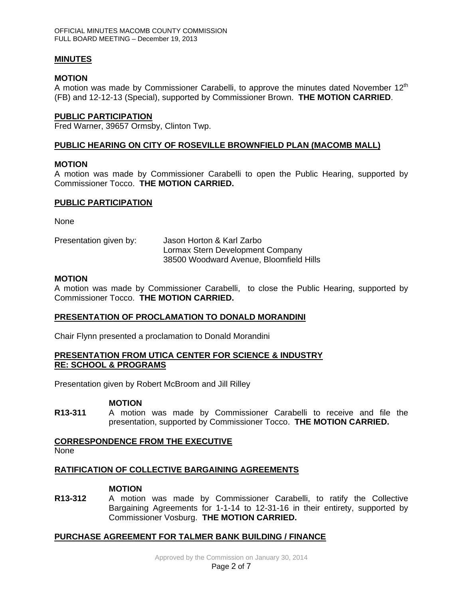### **MINUTES**

### **MOTION**

A motion was made by Commissioner Carabelli, to approve the minutes dated November  $12<sup>th</sup>$ (FB) and 12-12-13 (Special), supported by Commissioner Brown. **THE MOTION CARRIED**.

### **PUBLIC PARTICIPATION**

Fred Warner, 39657 Ormsby, Clinton Twp.

### **PUBLIC HEARING ON CITY OF ROSEVILLE BROWNFIELD PLAN (MACOMB MALL)**

#### **MOTION**

A motion was made by Commissioner Carabelli to open the Public Hearing, supported by Commissioner Tocco. **THE MOTION CARRIED.**

### **PUBLIC PARTICIPATION**

None

| Presentation given by: | Jason Horton & Karl Zarbo               |  |  |
|------------------------|-----------------------------------------|--|--|
|                        | Lormax Stern Development Company        |  |  |
|                        | 38500 Woodward Avenue, Bloomfield Hills |  |  |

### **MOTION**

A motion was made by Commissioner Carabelli, to close the Public Hearing, supported by Commissioner Tocco. **THE MOTION CARRIED.** 

### **PRESENTATION OF PROCLAMATION TO DONALD MORANDINI**

Chair Flynn presented a proclamation to Donald Morandini

### **PRESENTATION FROM UTICA CENTER FOR SCIENCE & INDUSTRY RE: SCHOOL & PROGRAMS**

Presentation given by Robert McBroom and Jill Rilley

### **MOTION**

**R13-311** A motion was made by Commissioner Carabelli to receive and file the presentation, supported by Commissioner Tocco. **THE MOTION CARRIED.** 

# **CORRESPONDENCE FROM THE EXECUTIVE**

None

### **RATIFICATION OF COLLECTIVE BARGAINING AGREEMENTS**

#### **MOTION**

**R13-312** A motion was made by Commissioner Carabelli, to ratify the Collective Bargaining Agreements for 1-1-14 to 12-31-16 in their entirety, supported by Commissioner Vosburg. **THE MOTION CARRIED.** 

### **PURCHASE AGREEMENT FOR TALMER BANK BUILDING / FINANCE**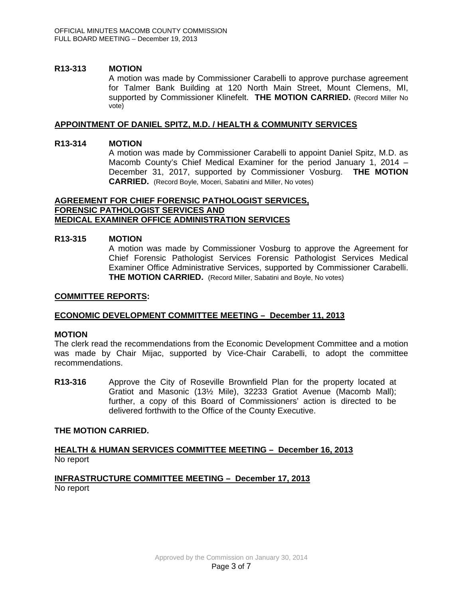### **R13-313 MOTION**

A motion was made by Commissioner Carabelli to approve purchase agreement for Talmer Bank Building at 120 North Main Street, Mount Clemens, MI, supported by Commissioner Klinefelt. **THE MOTION CARRIED.** (Record Miller No vote)

### **APPOINTMENT OF DANIEL SPITZ, M.D. / HEALTH & COMMUNITY SERVICES**

### **R13-314 MOTION**

 A motion was made by Commissioner Carabelli to appoint Daniel Spitz, M.D. as Macomb County's Chief Medical Examiner for the period January 1, 2014 – December 31, 2017, supported by Commissioner Vosburg. **THE MOTION CARRIED.** (Record Boyle, Moceri, Sabatini and Miller, No votes)

#### **AGREEMENT FOR CHIEF FORENSIC PATHOLOGIST SERVICES, FORENSIC PATHOLOGIST SERVICES AND MEDICAL EXAMINER OFFICE ADMINISTRATION SERVICES**

### **R13-315 MOTION**

 A motion was made by Commissioner Vosburg to approve the Agreement for Chief Forensic Pathologist Services Forensic Pathologist Services Medical Examiner Office Administrative Services, supported by Commissioner Carabelli. **THE MOTION CARRIED.** (Record Miller, Sabatini and Boyle, No votes)

### **COMMITTEE REPORTS:**

# **ECONOMIC DEVELOPMENT COMMITTEE MEETING – December 11, 2013**

### **MOTION**

The clerk read the recommendations from the Economic Development Committee and a motion was made by Chair Mijac, supported by Vice-Chair Carabelli, to adopt the committee recommendations.

**R13-316** Approve the City of Roseville Brownfield Plan for the property located at Gratiot and Masonic (13½ Mile), 32233 Gratiot Avenue (Macomb Mall); further, a copy of this Board of Commissioners' action is directed to be delivered forthwith to the Office of the County Executive.

### **THE MOTION CARRIED.**

### **HEALTH & HUMAN SERVICES COMMITTEE MEETING – December 16, 2013** No report

### **INFRASTRUCTURE COMMITTEE MEETING – December 17, 2013** No report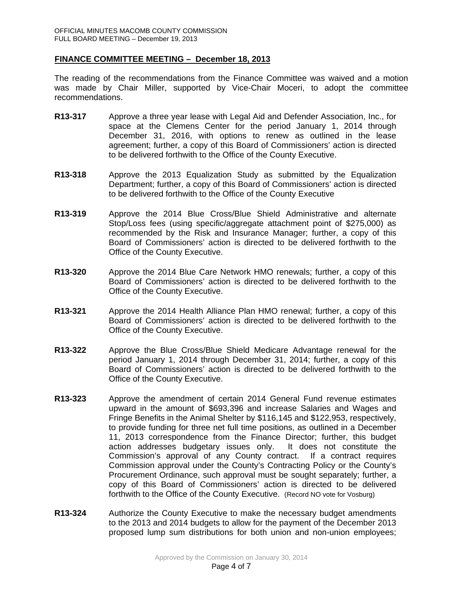### **FINANCE COMMITTEE MEETING – December 18, 2013**

The reading of the recommendations from the Finance Committee was waived and a motion was made by Chair Miller, supported by Vice-Chair Moceri, to adopt the committee recommendations.

- **R13-317** Approve a three year lease with Legal Aid and Defender Association, Inc., for space at the Clemens Center for the period January 1, 2014 through December 31, 2016, with options to renew as outlined in the lease agreement; further, a copy of this Board of Commissioners' action is directed to be delivered forthwith to the Office of the County Executive.
- **R13-318** Approve the 2013 Equalization Study as submitted by the Equalization Department; further, a copy of this Board of Commissioners' action is directed to be delivered forthwith to the Office of the County Executive
- **R13-319** Approve the 2014 Blue Cross/Blue Shield Administrative and alternate Stop/Loss fees (using specific/aggregate attachment point of \$275,000) as recommended by the Risk and Insurance Manager; further, a copy of this Board of Commissioners' action is directed to be delivered forthwith to the Office of the County Executive.
- **R13-320** Approve the 2014 Blue Care Network HMO renewals; further, a copy of this Board of Commissioners' action is directed to be delivered forthwith to the Office of the County Executive.
- **R13-321** Approve the 2014 Health Alliance Plan HMO renewal; further, a copy of this Board of Commissioners' action is directed to be delivered forthwith to the Office of the County Executive.
- **R13-322** Approve the Blue Cross/Blue Shield Medicare Advantage renewal for the period January 1, 2014 through December 31, 2014; further, a copy of this Board of Commissioners' action is directed to be delivered forthwith to the Office of the County Executive.
- **R13-323** Approve the amendment of certain 2014 General Fund revenue estimates upward in the amount of \$693,396 and increase Salaries and Wages and Fringe Benefits in the Animal Shelter by \$116,145 and \$122,953, respectively, to provide funding for three net full time positions, as outlined in a December 11, 2013 correspondence from the Finance Director; further, this budget action addresses budgetary issues only. It does not constitute the Commission's approval of any County contract. If a contract requires Commission approval under the County's Contracting Policy or the County's Procurement Ordinance, such approval must be sought separately; further, a copy of this Board of Commissioners' action is directed to be delivered forthwith to the Office of the County Executive. (Record NO vote for Vosburg)
- **R13-324** Authorize the County Executive to make the necessary budget amendments to the 2013 and 2014 budgets to allow for the payment of the December 2013 proposed lump sum distributions for both union and non-union employees;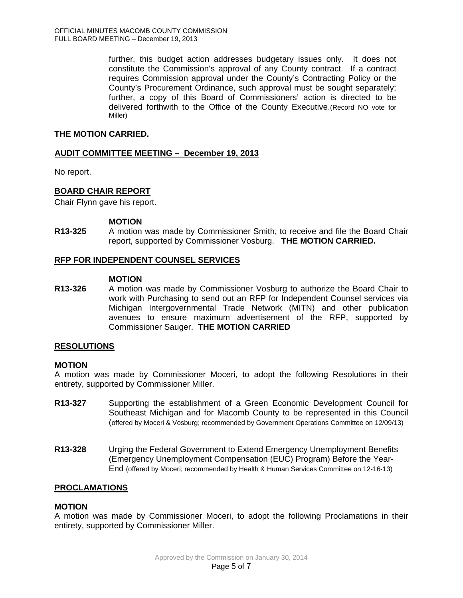further, this budget action addresses budgetary issues only. It does not constitute the Commission's approval of any County contract. If a contract requires Commission approval under the County's Contracting Policy or the County's Procurement Ordinance, such approval must be sought separately; further, a copy of this Board of Commissioners' action is directed to be delivered forthwith to the Office of the County Executive.(Record NO vote for Miller)

# **THE MOTION CARRIED.**

# **AUDIT COMMITTEE MEETING – December 19, 2013**

No report.

# **BOARD CHAIR REPORT**

Chair Flynn gave his report.

### **MOTION**

**R13-325** A motion was made by Commissioner Smith, to receive and file the Board Chair report, supported by Commissioner Vosburg. **THE MOTION CARRIED.**

# **RFP FOR INDEPENDENT COUNSEL SERVICES**

### **MOTION**

**R13-326** A motion was made by Commissioner Vosburg to authorize the Board Chair to work with Purchasing to send out an RFP for Independent Counsel services via Michigan Intergovernmental Trade Network (MITN) and other publication avenues to ensure maximum advertisement of the RFP, supported by Commissioner Sauger. **THE MOTION CARRIED** 

### **RESOLUTIONS**

### **MOTION**

A motion was made by Commissioner Moceri, to adopt the following Resolutions in their entirety, supported by Commissioner Miller.

- **R13-327** Supporting the establishment of a Green Economic Development Council for Southeast Michigan and for Macomb County to be represented in this Council (offered by Moceri & Vosburg; recommended by Government Operations Committee on 12/09/13)
- **R13-328** Urging the Federal Government to Extend Emergency Unemployment Benefits (Emergency Unemployment Compensation (EUC) Program) Before the Year-End (offered by Moceri; recommended by Health & Human Services Committee on 12-16-13)

# **PROCLAMATIONS**

### **MOTION**

A motion was made by Commissioner Moceri, to adopt the following Proclamations in their entirety, supported by Commissioner Miller.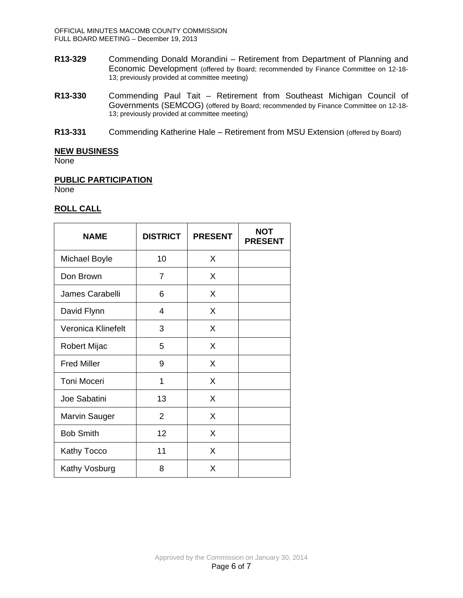- **R13-329** Commending Donald Morandini Retirement from Department of Planning and Economic Development (offered by Board; recommended by Finance Committee on 12-18- 13; previously provided at committee meeting)
- **R13-330** Commending Paul Tait Retirement from Southeast Michigan Council of Governments (SEMCOG) (offered by Board; recommended by Finance Committee on 12-18- 13; previously provided at committee meeting)
- **R13-331** Commending Katherine Hale Retirement from MSU Extension (offered by Board)

### **NEW BUSINESS**

**None** 

### **PUBLIC PARTICIPATION**

None

# **ROLL CALL**

| <b>NAME</b>          | <b>DISTRICT</b> | <b>PRESENT</b> | <b>NOT</b><br><b>PRESENT</b> |
|----------------------|-----------------|----------------|------------------------------|
| <b>Michael Boyle</b> | 10              | X              |                              |
| Don Brown            | $\overline{7}$  | X              |                              |
| James Carabelli      | 6               | X              |                              |
| David Flynn          | 4               | X              |                              |
| Veronica Klinefelt   | 3               | X              |                              |
| Robert Mijac         | 5               | X              |                              |
| <b>Fred Miller</b>   | 9               | X              |                              |
| <b>Toni Moceri</b>   | 1               | X              |                              |
| Joe Sabatini         | 13              | X              |                              |
| <b>Marvin Sauger</b> | $\overline{2}$  | X              |                              |
| <b>Bob Smith</b>     | 12              | X              |                              |
| <b>Kathy Tocco</b>   | 11              | X              |                              |
| Kathy Vosburg        | 8               | X              |                              |